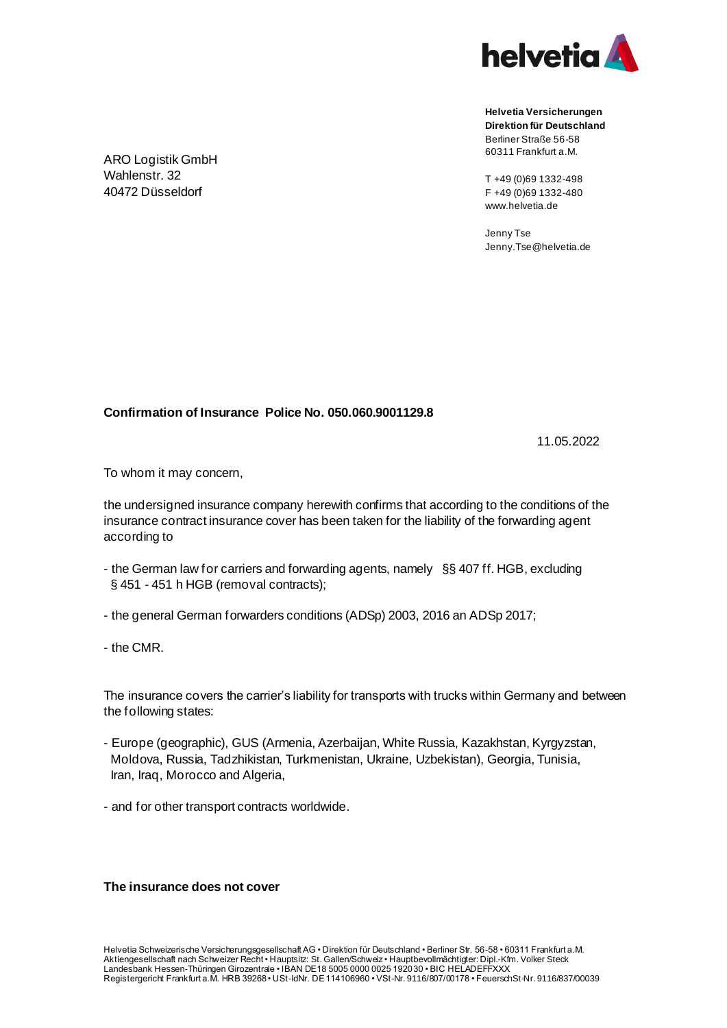

**Helvetia Versicherungen Direktion für Deutschland** Berliner Straße 56-58 60311 Frankfurt a.M.

T +49 (0)69 1332-498 F +49 (0)69 1332-480 www.helvetia.de

Jenny Tse Jenny.Tse@helvetia.de

**Confirmation of Insurance Police No. 050.060.9001129.8**

11.05.2022

To whom it may concern,

the undersigned insurance company herewith confirms that according to the conditions of the insurance contract insurance cover has been taken for the liability of the forwarding agent according to

- the German law for carriers and forwarding agents, namely §§ 407 ff. HGB, excluding § 451 - 451 h HGB (removal contracts);
- the general German forwarders conditions (ADSp) 2003, 2016 an ADSp 2017;
- the CMR.

The insurance covers the carrier's liability for transports with trucks within Germany and between the following states:

- Europe (geographic), GUS (Armenia, Azerbaijan, White Russia, Kazakhstan, Kyrgyzstan, Moldova, Russia, Tadzhikistan, Turkmenistan, Ukraine, Uzbekistan), Georgia, Tunisia, Iran, Iraq, Morocco and Algeria,
- and for other transport contracts worldwide.

## **The insurance does not cover**

ARO Logistik GmbH Wahlenstr. 32 40472 Düsseldorf